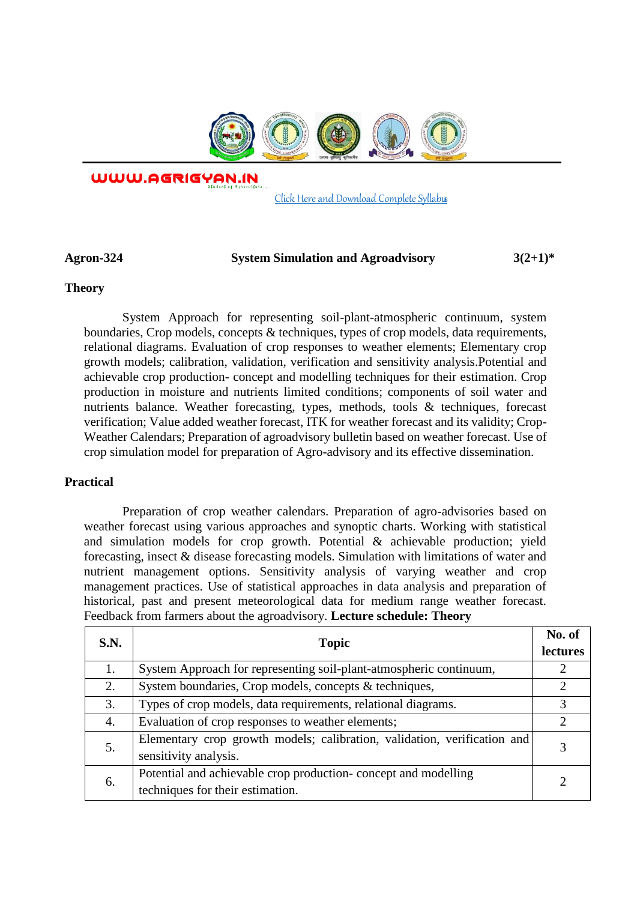

WWW.AGRIGYAN.IN

[Click Here and Download Complete Syllabus](http://agrigyan.in/)

## **Agron-324 System Simulation and Agroadvisory 3(2+1)\***

## **Theory**

 $\overline{a}$ 

System Approach for representing soil-plant-atmospheric continuum, system boundaries, Crop models, concepts & techniques, types of crop models, data requirements, relational diagrams. Evaluation of crop responses to weather elements; Elementary crop growth models; calibration, validation, verification and sensitivity analysis.Potential and achievable crop production- concept and modelling techniques for their estimation. Crop production in moisture and nutrients limited conditions; components of soil water and nutrients balance. Weather forecasting, types, methods, tools & techniques, forecast verification; Value added weather forecast, ITK for weather forecast and its validity; Crop-Weather Calendars; Preparation of agroadvisory bulletin based on weather forecast. Use of crop simulation model for preparation of Agro-advisory and its effective dissemination.

## **Practical**

Preparation of crop weather calendars. Preparation of agro-advisories based on weather forecast using various approaches and synoptic charts. Working with statistical and simulation models for crop growth. Potential & achievable production; yield forecasting, insect & disease forecasting models. Simulation with limitations of water and nutrient management options. Sensitivity analysis of varying weather and crop management practices. Use of statistical approaches in data analysis and preparation of historical, past and present meteorological data for medium range weather forecast. Feedback from farmers about the agroadvisory. **Lecture schedule: Theory**

| <b>S.N.</b> | <b>Topic</b>                                                                                        | No. of<br>lectures |
|-------------|-----------------------------------------------------------------------------------------------------|--------------------|
| 1.          | System Approach for representing soil-plant-atmospheric continuum,                                  |                    |
| 2.          | System boundaries, Crop models, concepts & techniques,                                              | $\mathcal{D}$      |
| 3.          | Types of crop models, data requirements, relational diagrams.                                       | 3                  |
| 4.          | Evaluation of crop responses to weather elements;                                                   | $\mathcal{D}$      |
| 5.          | Elementary crop growth models; calibration, validation, verification and<br>sensitivity analysis.   |                    |
| 6.          | Potential and achievable crop production- concept and modelling<br>techniques for their estimation. |                    |